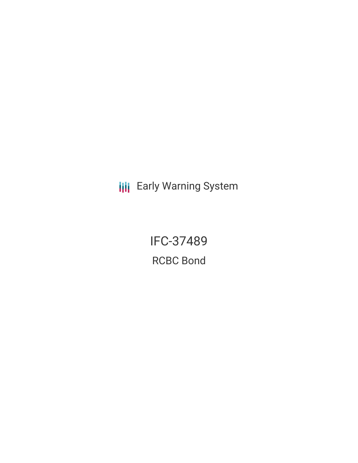**III** Early Warning System

IFC-37489 RCBC Bond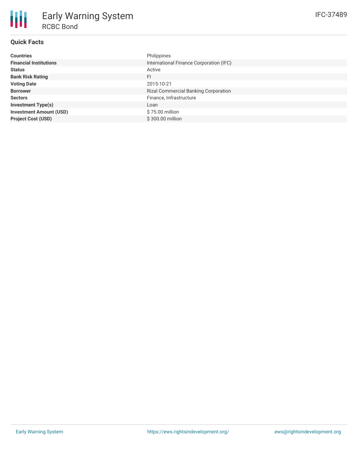# **Quick Facts**

| <b>Countries</b>               | Philippines                                 |
|--------------------------------|---------------------------------------------|
| <b>Financial Institutions</b>  | International Finance Corporation (IFC)     |
| <b>Status</b>                  | Active                                      |
| <b>Bank Risk Rating</b>        | FI                                          |
| <b>Voting Date</b>             | 2015-10-21                                  |
| <b>Borrower</b>                | <b>Rizal Commercial Banking Corporation</b> |
| <b>Sectors</b>                 | Finance, Infrastructure                     |
| <b>Investment Type(s)</b>      | Loan                                        |
| <b>Investment Amount (USD)</b> | \$75.00 million                             |
| <b>Project Cost (USD)</b>      | \$300.00 million                            |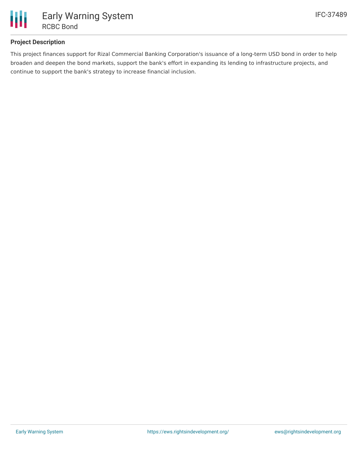

# **Project Description**

This project finances support for Rizal Commercial Banking Corporation's issuance of a long-term USD bond in order to help broaden and deepen the bond markets, support the bank's effort in expanding its lending to infrastructure projects, and continue to support the bank's strategy to increase financial inclusion.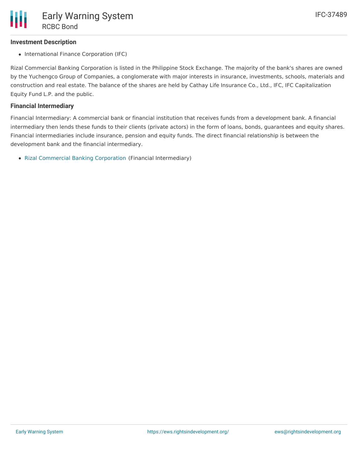## **Investment Description**

• International Finance Corporation (IFC)

Rizal Commercial Banking Corporation is listed in the Philippine Stock Exchange. The majority of the bank's shares are owned by the Yuchengco Group of Companies, a conglomerate with major interests in insurance, investments, schools, materials and construction and real estate. The balance of the shares are held by Cathay Life Insurance Co., Ltd., IFC, IFC Capitalization Equity Fund L.P. and the public.

#### **Financial Intermediary**

Financial Intermediary: A commercial bank or financial institution that receives funds from a development bank. A financial intermediary then lends these funds to their clients (private actors) in the form of loans, bonds, guarantees and equity shares. Financial intermediaries include insurance, pension and equity funds. The direct financial relationship is between the development bank and the financial intermediary.

• Rizal [Commercial](file:///actor/1008/) Banking Corporation (Financial Intermediary)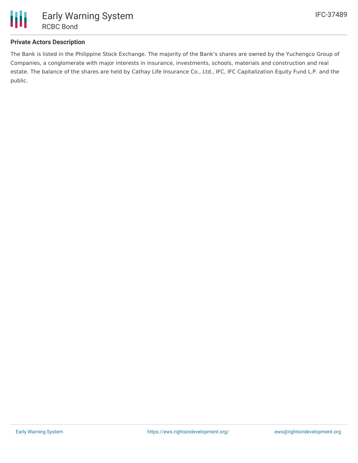

## **Private Actors Description**

The Bank is listed in the Philippine Stock Exchange. The majority of the Bank's shares are owned by the Yuchengco Group of Companies, a conglomerate with major interests in insurance, investments, schools, materials and construction and real estate. The balance of the shares are held by Cathay Life Insurance Co., Ltd., IFC, IFC Capitalization Equity Fund L.P. and the public.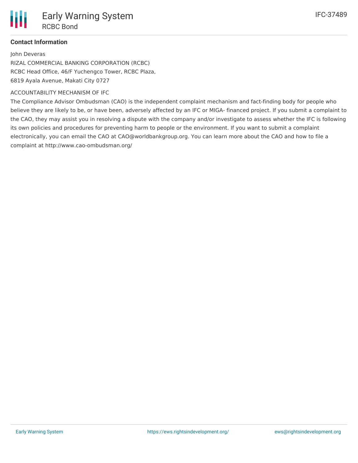# **Contact Information**

John Deveras RIZAL COMMERCIAL BANKING CORPORATION (RCBC) RCBC Head Office, 46/F Yuchengco Tower, RCBC Plaza, 6819 Ayala Avenue, Makati City 0727

#### ACCOUNTABILITY MECHANISM OF IFC

The Compliance Advisor Ombudsman (CAO) is the independent complaint mechanism and fact-finding body for people who believe they are likely to be, or have been, adversely affected by an IFC or MIGA- financed project. If you submit a complaint to the CAO, they may assist you in resolving a dispute with the company and/or investigate to assess whether the IFC is following its own policies and procedures for preventing harm to people or the environment. If you want to submit a complaint electronically, you can email the CAO at CAO@worldbankgroup.org. You can learn more about the CAO and how to file a complaint at http://www.cao-ombudsman.org/